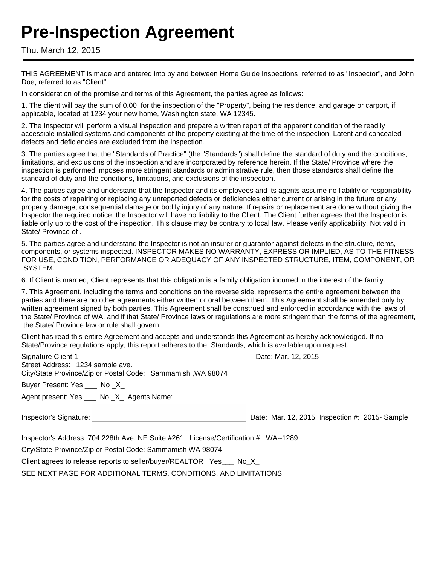# **Pre-Inspection Agreement**

Thu. March 12, 2015

THIS AGREEMENT is made and entered into by and between Home Guide Inspections referred to as "Inspector", and John Doe, referred to as "Client".

In consideration of the promise and terms of this Agreement, the parties agree as follows:

1. The client will pay the sum of 0.00 for the inspection of the "Property", being the residence, and garage or carport, if applicable, located at 1234 your new home, Washington state, WA 12345.

2. The Inspector will perform a visual inspection and prepare a written report of the apparent condition of the readily accessible installed systems and components of the property existing at the time of the inspection. Latent and concealed defects and deficiencies are excluded from the inspection.

3. The parties agree that the "Standards of Practice" (the "Standards") shall define the standard of duty and the conditions, limitations, and exclusions of the inspection and are incorporated by reference herein. If the State/ Province where the inspection is performed imposes more stringent standards or administrative rule, then those standards shall define the standard of duty and the conditions, limitations, and exclusions of the inspection.

4. The parties agree and understand that the Inspector and its employees and its agents assume no liability or responsibility for the costs of repairing or replacing any unreported defects or deficiencies either current or arising in the future or any property damage, consequential damage or bodily injury of any nature. If repairs or replacement are done without giving the Inspector the required notice, the Inspector will have no liability to the Client. The Client further agrees that the Inspector is liable only up to the cost of the inspection. This clause may be contrary to local law. Please verify applicability. Not valid in State/ Province of .

5. The parties agree and understand the Inspector is not an insurer or guarantor against defects in the structure, items, components, or systems inspected. INSPECTOR MAKES NO WARRANTY, EXPRESS OR IMPLIED, AS TO THE FITNESS FOR USE, CONDITION, PERFORMANCE OR ADEQUACY OF ANY INSPECTED STRUCTURE, ITEM, COMPONENT, OR SYSTEM.

6. If Client is married, Client represents that this obligation is a family obligation incurred in the interest of the family.

7. This Agreement, including the terms and conditions on the reverse side, represents the entire agreement between the parties and there are no other agreements either written or oral between them. This Agreement shall be amended only by written agreement signed by both parties. This Agreement shall be construed and enforced in accordance with the laws of the State/ Province of WA, and if that State/ Province laws or regulations are more stringent than the forms of the agreement, the State/ Province law or rule shall govern.

Client has read this entire Agreement and accepts and understands this Agreement as hereby acknowledged. If no State/Province regulations apply, this report adheres to the Standards, which is available upon request.

| Signature Client 1: \[\]<br>Street Address: 1234 sample ave.<br>City/State Province/Zip or Postal Code: Sammamish, WA 98074 | Date: Mar. 12, 2015                            |
|-----------------------------------------------------------------------------------------------------------------------------|------------------------------------------------|
| Buyer Present: Yes ____ No _X_                                                                                              |                                                |
| Agent present: Yes ____ No _X_ Agents Name:                                                                                 |                                                |
|                                                                                                                             |                                                |
| Inspector's Signature:                                                                                                      | Date: Mar. 12, 2015 Inspection #: 2015- Sample |
| Inspector's Address: 704 228th Ave. NE Suite #261 License/Certification #: WA--1289                                         |                                                |
| City/State Province/Zip or Postal Code: Sammamish WA 98074                                                                  |                                                |

SEE NEXT PAGE FOR ADDITIONAL TERMS, CONDITIONS, AND LIMITATIONS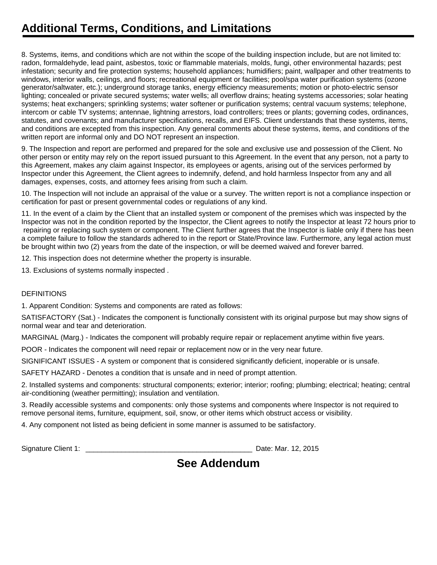# **Additional Terms, Conditions, and Limitations**

8. Systems, items, and conditions which are not within the scope of the building inspection include, but are not limited to: radon, formaldehyde, lead paint, asbestos, toxic or flammable materials, molds, fungi, other environmental hazards; pest infestation; security and fire protection systems; household appliances; humidifiers; paint, wallpaper and other treatments to windows, interior walls, ceilings, and floors; recreational equipment or facilities; pool/spa water purification systems (ozone generator/saltwater, etc.); underground storage tanks, energy efficiency measurements; motion or photo-electric sensor lighting; concealed or private secured systems; water wells; all overflow drains; heating systems accessories; solar heating systems; heat exchangers; sprinkling systems; water softener or purification systems; central vacuum systems; telephone, intercom or cable TV systems; antennae, lightning arrestors, load controllers; trees or plants; governing codes, ordinances, statutes, and covenants; and manufacturer specifications, recalls, and EIFS. Client understands that these systems, items, and conditions are excepted from this inspection. Any general comments about these systems, items, and conditions of the written report are informal only and DO NOT represent an inspection.

9. The Inspection and report are performed and prepared for the sole and exclusive use and possession of the Client. No other person or entity may rely on the report issued pursuant to this Agreement. In the event that any person, not a party to this Agreement, makes any claim against Inspector, its employees or agents, arising out of the services performed by Inspector under this Agreement, the Client agrees to indemnify, defend, and hold harmless Inspector from any and all damages, expenses, costs, and attorney fees arising from such a claim.

10. The Inspection will not include an appraisal of the value or a survey. The written report is not a compliance inspection or certification for past or present governmental codes or regulations of any kind.

11. In the event of a claim by the Client that an installed system or component of the premises which was inspected by the Inspector was not in the condition reported by the Inspector, the Client agrees to notify the Inspector at least 72 hours prior to repairing or replacing such system or component. The Client further agrees that the Inspector is liable only if there has been a complete failure to follow the standards adhered to in the report or State/Province law. Furthermore, any legal action must be brought within two (2) years from the date of the inspection, or will be deemed waived and forever barred.

12. This inspection does not determine whether the property is insurable.

13. Exclusions of systems normally inspected .

#### **DEFINITIONS**

1. Apparent Condition: Systems and components are rated as follows:

SATISFACTORY (Sat.) - Indicates the component is functionally consistent with its original purpose but may show signs of normal wear and tear and deterioration.

MARGINAL (Marg.) - Indicates the component will probably require repair or replacement anytime within five years.

POOR - Indicates the component will need repair or replacement now or in the very near future.

SIGNIFICANT ISSUES - A system or component that is considered significantly deficient, inoperable or is unsafe.

SAFETY HAZARD - Denotes a condition that is unsafe and in need of prompt attention.

2. Installed systems and components: structural components; exterior; interior; roofing; plumbing; electrical; heating; central air-conditioning (weather permitting); insulation and ventilation.

3. Readily accessible systems and components: only those systems and components where Inspector is not required to remove personal items, furniture, equipment, soil, snow, or other items which obstruct access or visibility.

4. Any component not listed as being deficient in some manner is assumed to be satisfactory.

Signature Client 1: **Example 2018** Signature Client 1: **Date: Mar. 12, 2015** 

### **See Addendum**